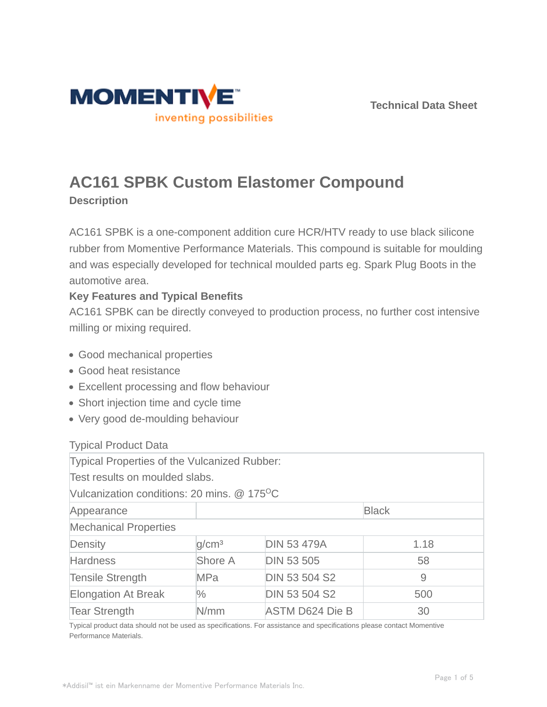



# **AC161 SPBK Custom Elastomer Compound**

**Description**

AC161 SPBK is a one-component addition cure HCR/HTV ready to use black silicone rubber from Momentive Performance Materials. This compound is suitable for moulding and was especially developed for technical moulded parts eg. Spark Plug Boots in the automotive area.

## **Key Features and Typical Benefits**

AC161 SPBK can be directly conveyed to production process, no further cost intensive milling or mixing required.

- Good mechanical properties
- Good heat resistance
- Excellent processing and flow behaviour
- Short injection time and cycle time
- Very good de-moulding behaviour

## Typical Product Data

| Typical Properties of the Vulcanized Rubber:            |                   |                        |      |  |
|---------------------------------------------------------|-------------------|------------------------|------|--|
| Test results on moulded slabs.                          |                   |                        |      |  |
| Vulcanization conditions: 20 mins. @ 175 <sup>o</sup> C |                   |                        |      |  |
| Appearance                                              |                   | <b>Black</b>           |      |  |
| <b>Mechanical Properties</b>                            |                   |                        |      |  |
| Density                                                 | q/cm <sup>3</sup> | <b>DIN 53 479A</b>     | 1.18 |  |
| <b>Hardness</b>                                         | Shore A           | <b>DIN 53 505</b>      | 58   |  |
| <b>Tensile Strength</b>                                 | <b>MPa</b>        | <b>DIN 53 504 S2</b>   | 9    |  |
| <b>Elongation At Break</b>                              | $\frac{0}{0}$     | <b>DIN 53 504 S2</b>   | 500  |  |
| <b>Tear Strength</b>                                    | N/mm              | <b>ASTM D624 Die B</b> | 30   |  |

Typical product data should not be used as specifications. For assistance and specifications please contact Momentive Performance Materials.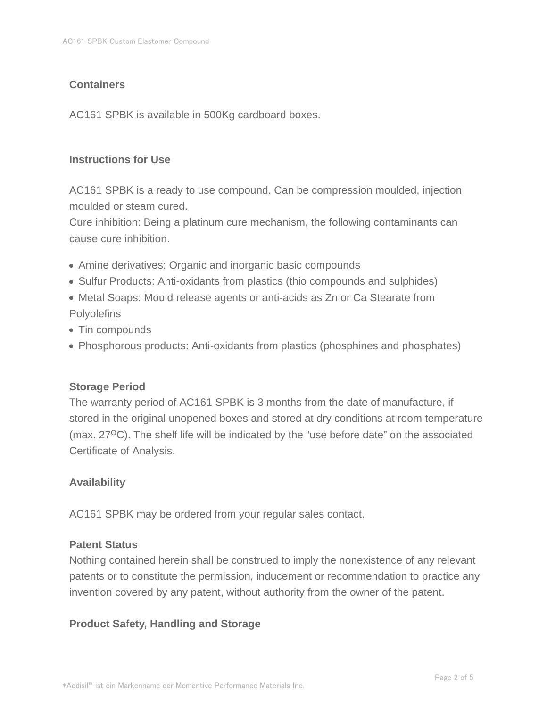## **Containers**

AC161 SPBK is available in 500Kg cardboard boxes.

### **Instructions for Use**

AC161 SPBK is a ready to use compound. Can be compression moulded, injection moulded or steam cured.

Cure inhibition: Being a platinum cure mechanism, the following contaminants can cause cure inhibition.

- Amine derivatives: Organic and inorganic basic compounds
- Sulfur Products: Anti-oxidants from plastics (thio compounds and sulphides)
- Metal Soaps: Mould release agents or anti-acids as Zn or Ca Stearate from **Polyolefins**
- Tin compounds
- Phosphorous products: Anti-oxidants from plastics (phosphines and phosphates)

## **Storage Period**

The warranty period of AC161 SPBK is 3 months from the date of manufacture, if stored in the original unopened boxes and stored at dry conditions at room temperature (max.  $27^{\circ}$ C). The shelf life will be indicated by the "use before date" on the associated Certificate of Analysis.

## **Availability**

AC161 SPBK may be ordered from your regular sales contact.

#### **Patent Status**

Nothing contained herein shall be construed to imply the nonexistence of any relevant patents or to constitute the permission, inducement or recommendation to practice any invention covered by any patent, without authority from the owner of the patent.

## **Product Safety, Handling and Storage**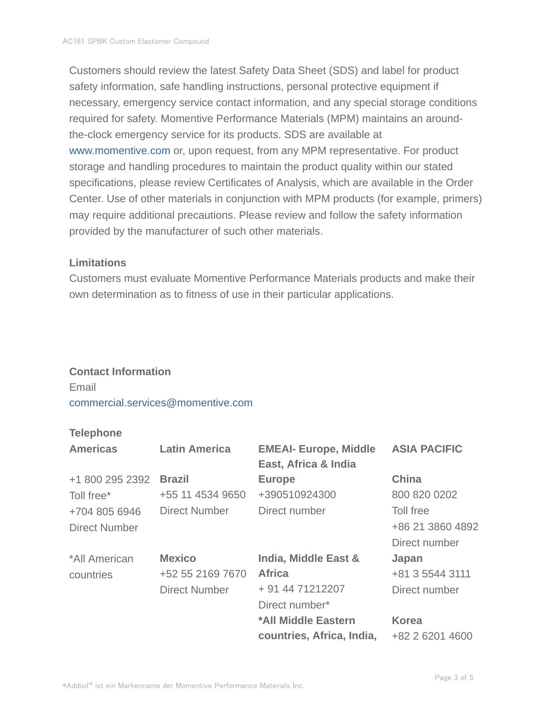Customers should review the latest Safety Data Sheet (SDS) and label for product safety information, safe handling instructions, personal protective equipment if necessary, emergency service contact information, and any special storage conditions required for safety. Momentive Performance Materials (MPM) maintains an aroundthe-clock emergency service for its products. SDS are available at www.momentive.com or, upon request, from any MPM representative. For product storage and handling procedures to maintain the product quality within our stated specifications, please review Certificates of Analysis, which are available in the Order Center. Use of other materials in conjunction with MPM products (for example, primers) may require additional precautions. Please review and follow the safety information provided by the manufacturer of such other materials.

#### **Limitations**

Customers must evaluate Momentive Performance Materials products and make their own determination as to fitness of use in their particular applications.

#### **Contact Information**

Email commercial.services@momentive.com

## **Telephone**

| <b>Americas</b>      | <b>Latin America</b> | <b>EMEAI- Europe, Middle</b><br>East, Africa & India | <b>ASIA PACIFIC</b> |
|----------------------|----------------------|------------------------------------------------------|---------------------|
| +1 800 295 2392      | <b>Brazil</b>        | <b>Europe</b>                                        | <b>China</b>        |
| Toll free*           | +55 11 4534 9650     | +390510924300                                        | 800 820 0202        |
| +704 805 6946        | <b>Direct Number</b> | Direct number                                        | Toll free           |
| <b>Direct Number</b> |                      |                                                      | +86 21 3860 4892    |
|                      |                      |                                                      | Direct number       |
| *All American        | <b>Mexico</b>        | India, Middle East &                                 | Japan               |
| countries            | +52 55 2169 7670     | <b>Africa</b>                                        | +81 3 5544 3111     |
|                      | <b>Direct Number</b> | + 91 44 71212207                                     | Direct number       |
|                      |                      | Direct number*                                       |                     |
|                      |                      | *All Middle Eastern                                  | <b>Korea</b>        |
|                      |                      | countries, Africa, India,                            | +82 2 6201 4600     |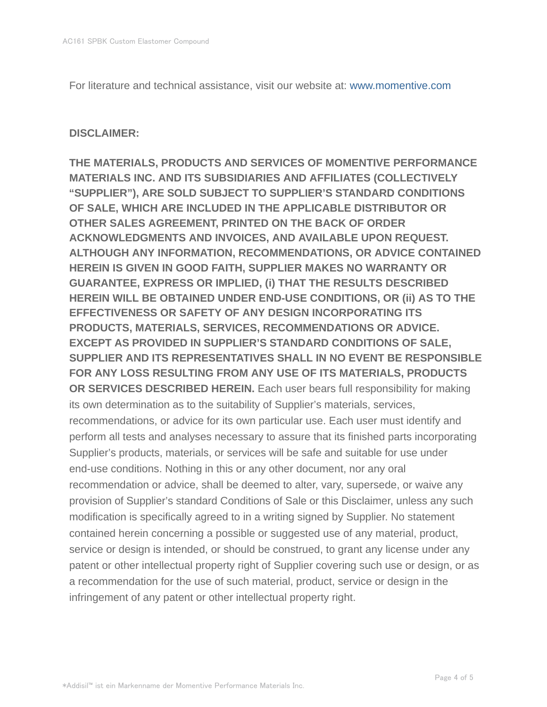For literature and technical assistance, visit our website at: www.momentive.com

#### **DISCLAIMER:**

**THE MATERIALS, PRODUCTS AND SERVICES OF MOMENTIVE PERFORMANCE MATERIALS INC. AND ITS SUBSIDIARIES AND AFFILIATES (COLLECTIVELY "SUPPLIER"), ARE SOLD SUBJECT TO SUPPLIER'S STANDARD CONDITIONS OF SALE, WHICH ARE INCLUDED IN THE APPLICABLE DISTRIBUTOR OR OTHER SALES AGREEMENT, PRINTED ON THE BACK OF ORDER ACKNOWLEDGMENTS AND INVOICES, AND AVAILABLE UPON REQUEST. ALTHOUGH ANY INFORMATION, RECOMMENDATIONS, OR ADVICE CONTAINED HEREIN IS GIVEN IN GOOD FAITH, SUPPLIER MAKES NO WARRANTY OR GUARANTEE, EXPRESS OR IMPLIED, (i) THAT THE RESULTS DESCRIBED HEREIN WILL BE OBTAINED UNDER END-USE CONDITIONS, OR (ii) AS TO THE EFFECTIVENESS OR SAFETY OF ANY DESIGN INCORPORATING ITS PRODUCTS, MATERIALS, SERVICES, RECOMMENDATIONS OR ADVICE. EXCEPT AS PROVIDED IN SUPPLIER'S STANDARD CONDITIONS OF SALE, SUPPLIER AND ITS REPRESENTATIVES SHALL IN NO EVENT BE RESPONSIBLE FOR ANY LOSS RESULTING FROM ANY USE OF ITS MATERIALS, PRODUCTS OR SERVICES DESCRIBED HEREIN.** Each user bears full responsibility for making its own determination as to the suitability of Supplier's materials, services, recommendations, or advice for its own particular use. Each user must identify and perform all tests and analyses necessary to assure that its finished parts incorporating Supplier's products, materials, or services will be safe and suitable for use under end-use conditions. Nothing in this or any other document, nor any oral recommendation or advice, shall be deemed to alter, vary, supersede, or waive any provision of Supplier's standard Conditions of Sale or this Disclaimer, unless any such modification is specifically agreed to in a writing signed by Supplier. No statement contained herein concerning a possible or suggested use of any material, product, service or design is intended, or should be construed, to grant any license under any patent or other intellectual property right of Supplier covering such use or design, or as a recommendation for the use of such material, product, service or design in the infringement of any patent or other intellectual property right.